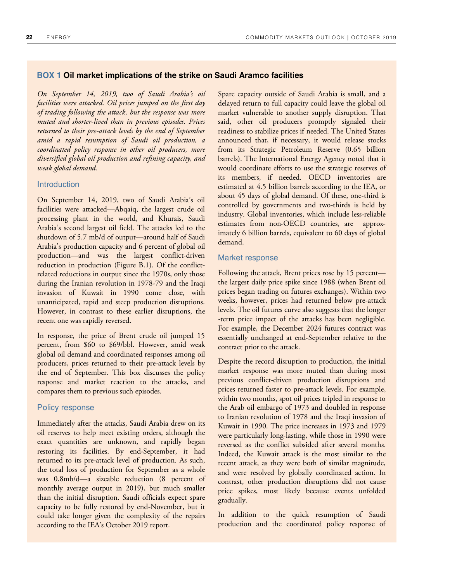### **BOX 1 Oil market implications of the strike on Saudi Aramco facilities**

*On September 14, 2019, two of Saudi Arabia's oil facilities were attacked. Oil prices jumped on the first day of trading following the attack, but the response was more muted and shorter-lived than in previous episodes. Prices returned to their pre-attack levels by the end of September amid a rapid resumption of Saudi oil production, a coordinated policy response in other oil producers, more diversified global oil production and refining capacity, and weak global demand.* 

### **Introduction**

On September 14, 2019, two of Saudi Arabia's oil facilities were attacked—Abqaiq, the largest crude oil processing plant in the world, and Khurais, Saudi Arabia's second largest oil field. The attacks led to the shutdown of 5.7 mb/d of output—around half of Saudi Arabia's production capacity and 6 percent of global oil production—and was the largest conflict-driven reduction in production (Figure B.1). Of the conflictrelated reductions in output since the 1970s, only those during the Iranian revolution in 1978-79 and the Iraqi invasion of Kuwait in 1990 come close, with unanticipated, rapid and steep production disruptions. However, in contrast to these earlier disruptions, the recent one was rapidly reversed.

In response, the price of Brent crude oil jumped 15 percent, from \$60 to \$69/bbl. However, amid weak global oil demand and coordinated responses among oil producers, prices returned to their pre-attack levels by the end of September. This box discusses the policy response and market reaction to the attacks, and compares them to previous such episodes.

## Policy response

Immediately after the attacks, Saudi Arabia drew on its oil reserves to help meet existing orders, although the exact quantities are unknown, and rapidly began restoring its facilities. By end-September, it had returned to its pre-attack level of production. As such, the total loss of production for September as a whole was 0.8mb/d—a sizeable reduction (8 percent of monthly average output in 2019), but much smaller than the initial disruption. Saudi officials expect spare capacity to be fully restored by end-November, but it could take longer given the complexity of the repairs according to the IEA's October 2019 report.

Spare capacity outside of Saudi Arabia is small, and a delayed return to full capacity could leave the global oil market vulnerable to another supply disruption. That said, other oil producers promptly signaled their readiness to stabilize prices if needed. The United States announced that, if necessary, it would release stocks from its Strategic Petroleum Reserve (0.65 billion barrels). The International Energy Agency noted that it would coordinate efforts to use the strategic reserves of its members, if needed. OECD inventories are estimated at 4.5 billion barrels according to the IEA, or about 45 days of global demand. Of these, one-third is controlled by governments and two-thirds is held by industry. Global inventories, which include less-reliable estimates from non-OECD countries, are approximately 6 billion barrels, equivalent to 60 days of global demand.

## Market response

Following the attack, Brent prices rose by 15 percent the largest daily price spike since 1988 (when Brent oil prices began trading on futures exchanges). Within two weeks, however, prices had returned below pre-attack levels. The oil futures curve also suggests that the longer -term price impact of the attacks has been negligible. For example, the December 2024 futures contract was essentially unchanged at end-September relative to the contract prior to the attack.

Despite the record disruption to production, the initial market response was more muted than during most previous conflict-driven production disruptions and prices returned faster to pre-attack levels. For example, within two months, spot oil prices tripled in response to the Arab oil embargo of 1973 and doubled in response to Iranian revolution of 1978 and the Iraqi invasion of Kuwait in 1990. The price increases in 1973 and 1979 were particularly long-lasting, while those in 1990 were reversed as the conflict subsided after several months. Indeed, the Kuwait attack is the most similar to the recent attack, as they were both of similar magnitude, and were resolved by globally coordinated action. In contrast, other production disruptions did not cause price spikes, most likely because events unfolded gradually.

In addition to the quick resumption of Saudi production and the coordinated policy response of